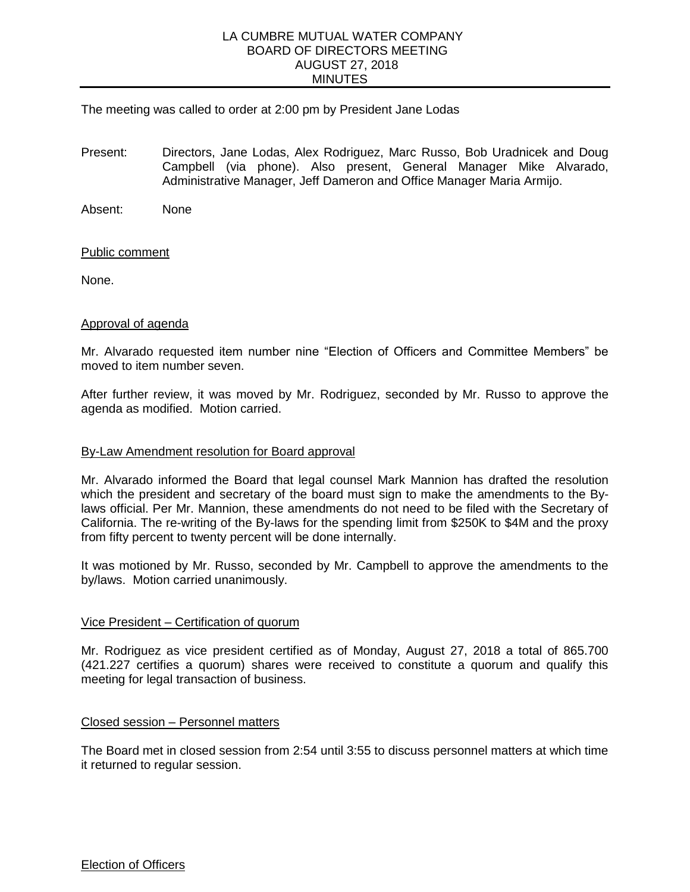## LA CUMBRE MUTUAL WATER COMPANY BOARD OF DIRECTORS MEETING AUGUST 27, 2018 MINUTES

# The meeting was called to order at 2:00 pm by President Jane Lodas

Present: Directors, Jane Lodas, Alex Rodriguez, Marc Russo, Bob Uradnicek and Doug Campbell (via phone). Also present, General Manager Mike Alvarado, Administrative Manager, Jeff Dameron and Office Manager Maria Armijo.

Absent: None

## Public comment

None.

#### Approval of agenda

Mr. Alvarado requested item number nine "Election of Officers and Committee Members" be moved to item number seven.

After further review, it was moved by Mr. Rodriguez, seconded by Mr. Russo to approve the agenda as modified. Motion carried.

#### By-Law Amendment resolution for Board approval

Mr. Alvarado informed the Board that legal counsel Mark Mannion has drafted the resolution which the president and secretary of the board must sign to make the amendments to the Bylaws official. Per Mr. Mannion, these amendments do not need to be filed with the Secretary of California. The re-writing of the By-laws for the spending limit from \$250K to \$4M and the proxy from fifty percent to twenty percent will be done internally.

It was motioned by Mr. Russo, seconded by Mr. Campbell to approve the amendments to the by/laws. Motion carried unanimously.

## Vice President – Certification of quorum

Mr. Rodriguez as vice president certified as of Monday, August 27, 2018 a total of 865.700 (421.227 certifies a quorum) shares were received to constitute a quorum and qualify this meeting for legal transaction of business.

## Closed session – Personnel matters

The Board met in closed session from 2:54 until 3:55 to discuss personnel matters at which time it returned to regular session.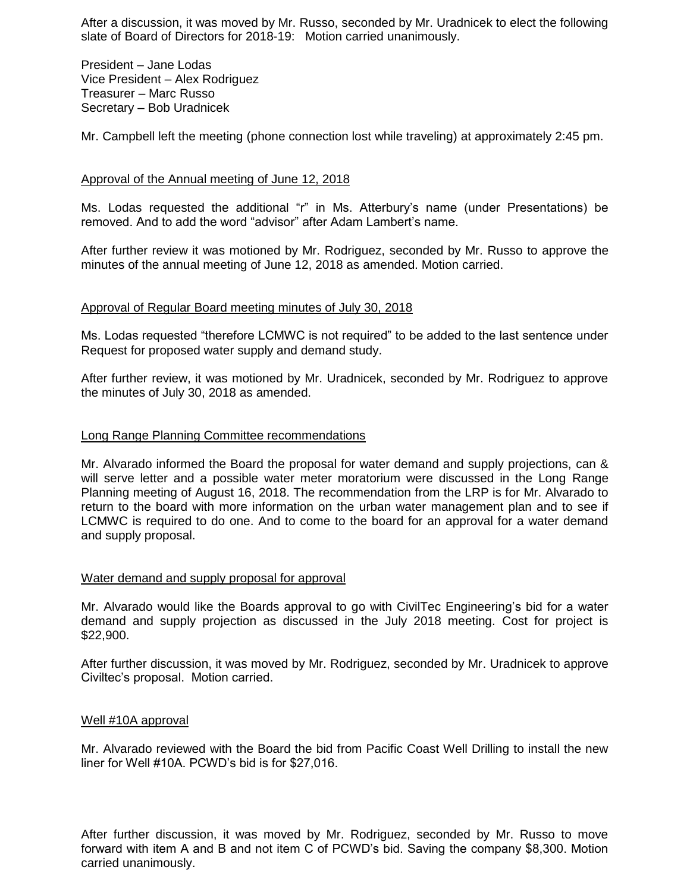After a discussion, it was moved by Mr. Russo, seconded by Mr. Uradnicek to elect the following slate of Board of Directors for 2018-19: Motion carried unanimously.

President – Jane Lodas Vice President – Alex Rodriguez Treasurer – Marc Russo Secretary – Bob Uradnicek

Mr. Campbell left the meeting (phone connection lost while traveling) at approximately 2:45 pm.

## Approval of the Annual meeting of June 12, 2018

Ms. Lodas requested the additional "r" in Ms. Atterbury's name (under Presentations) be removed. And to add the word "advisor" after Adam Lambert's name.

After further review it was motioned by Mr. Rodriguez, seconded by Mr. Russo to approve the minutes of the annual meeting of June 12, 2018 as amended. Motion carried.

## Approval of Regular Board meeting minutes of July 30, 2018

Ms. Lodas requested "therefore LCMWC is not required" to be added to the last sentence under Request for proposed water supply and demand study.

After further review, it was motioned by Mr. Uradnicek, seconded by Mr. Rodriguez to approve the minutes of July 30, 2018 as amended.

## Long Range Planning Committee recommendations

Mr. Alvarado informed the Board the proposal for water demand and supply projections, can & will serve letter and a possible water meter moratorium were discussed in the Long Range Planning meeting of August 16, 2018. The recommendation from the LRP is for Mr. Alvarado to return to the board with more information on the urban water management plan and to see if LCMWC is required to do one. And to come to the board for an approval for a water demand and supply proposal.

## Water demand and supply proposal for approval

Mr. Alvarado would like the Boards approval to go with CivilTec Engineering's bid for a water demand and supply projection as discussed in the July 2018 meeting. Cost for project is \$22,900.

After further discussion, it was moved by Mr. Rodriguez, seconded by Mr. Uradnicek to approve Civiltec's proposal. Motion carried.

## Well #10A approval

Mr. Alvarado reviewed with the Board the bid from Pacific Coast Well Drilling to install the new liner for Well #10A. PCWD's bid is for \$27,016.

After further discussion, it was moved by Mr. Rodriguez, seconded by Mr. Russo to move forward with item A and B and not item C of PCWD's bid. Saving the company \$8,300. Motion carried unanimously.